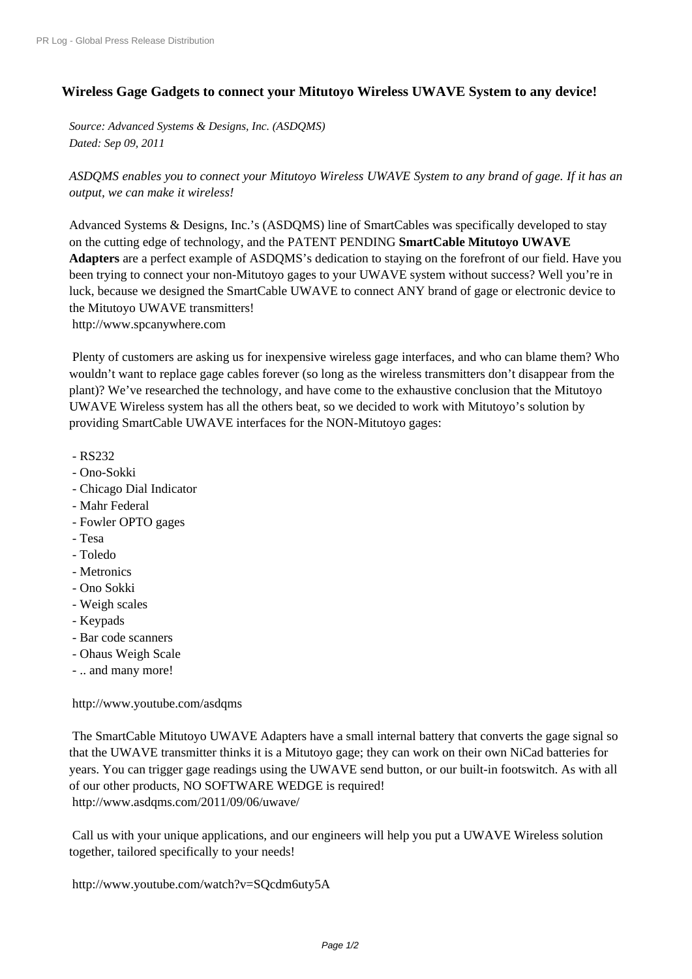## **[Wireless Gage Gadgets to](http://www.prlog.org/) connect your Mitutoyo Wireless UWAVE System to any device!**

*Source: Advanced Systems & Designs, Inc. (ASDQMS) Dated: Sep 09, 2011*

*ASDQMS enables you to connect your Mitutoyo Wireless UWAVE System to any brand of gage. If it has an output, we can make it wireless!*

Advanced Systems & Designs, Inc.'s (ASDQMS) line of SmartCables was specifically developed to stay on the cutting edge of technology, and the PATENT PENDING **SmartCable Mitutoyo UWAVE Adapters** are a perfect example of ASDQMS's dedication to staying on the forefront of our field. Have you been trying to connect your non-Mitutoyo gages to your UWAVE system without success? Well you're in luck, because we designed the SmartCable UWAVE to connect ANY brand of gage or electronic device to the Mitutoyo UWAVE transmitters! http://www.spcanywhere.com

 Plenty of customers are asking us for inexpensive wireless gage interfaces, and who can blame them? Who wouldn't want to replace gage cables forever (so long as the wireless transmitters don't disappear from the [plant\)? We've researched the te](http://www.prlog.org/11654016.html)chnology, and have come to the exhaustive conclusion that the Mitutoyo UWAVE Wireless system has all the others beat, so we decided to work with Mitutoyo's solution by providing SmartCable UWAVE interfaces for the NON-Mitutoyo gages:

- RS232
- Ono-Sokki
- Chicago Dial Indicator
- Mahr Federal
- Fowler OPTO gages
- Tesa
- Toledo
- Metronics
- Ono Sokki
- Weigh scales
- Keypads
- Bar code scanners
- Ohaus Weigh Scale
- .. and many more!

http://www.youtube.com/asdqms

 The SmartCable Mitutoyo UWAVE Adapters have a small internal battery that converts the gage signal so that the UWAVE transmitter thinks it is a Mitutoyo gage; they can work on their own NiCad batteries for [years. You can trigger gage readin](http://www.prlog.org/11654016.html)gs using the UWAVE send button, or our built-in footswitch. As with all of our other products, NO SOFTWARE WEDGE is required! http://www.asdqms.com/2011/09/06/uwave/

 Call us with your unique applications, and our engineers will help you put a UWAVE Wireless solution [together, tailored specifically to your needs!](http://www.prlog.org/11654016.html)

http://www.youtube.com/watch?v=SQcdm6uty5A